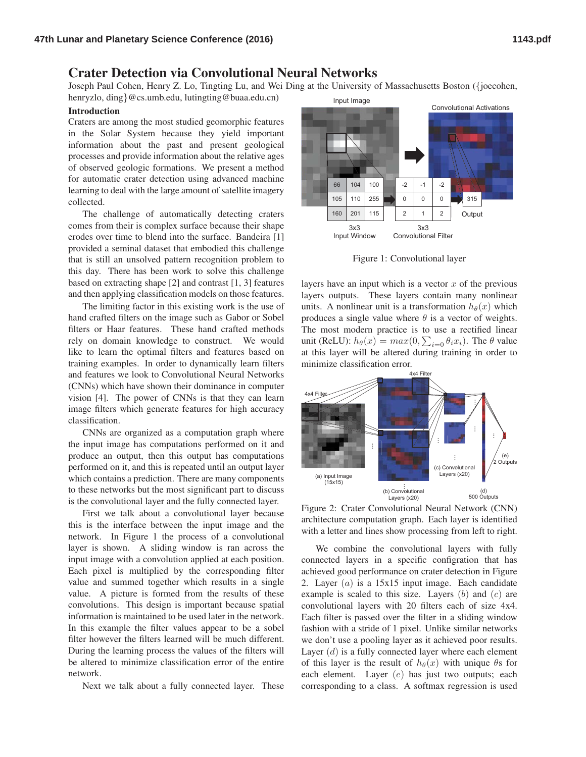## Crater Detection via Convolutional Neural Networks

Joseph Paul Cohen, Henry Z. Lo, Tingting Lu, and Wei Ding at the University of Massachusetts Boston ({joecohen,

henryzlo, ding}@cs.umb.edu, lutingting@buaa.edu.cn)

## Introduction

Craters are among the most studied geomorphic features in the Solar System because they yield important information about the past and present geological processes and provide information about the relative ages of observed geologic formations. We present a method for automatic crater detection using advanced machine learning to deal with the large amount of satellite imagery collected.

The challenge of automatically detecting craters comes from their is complex surface because their shape erodes over time to blend into the surface. Bandeira [1] provided a seminal dataset that embodied this challenge that is still an unsolved pattern recognition problem to this day. There has been work to solve this challenge based on extracting shape [2] and contrast [1, 3] features and then applying classification models on those features.

The limiting factor in this existing work is the use of hand crafted filters on the image such as Gabor or Sobel filters or Haar features. These hand crafted methods rely on domain knowledge to construct. We would like to learn the optimal filters and features based on training examples. In order to dynamically learn filters and features we look to Convolutional Neural Networks (CNNs) which have shown their dominance in computer vision [4]. The power of CNNs is that they can learn image filters which generate features for high accuracy classification.

CNNs are organized as a computation graph where the input image has computations performed on it and produce an output, then this output has computations performed on it, and this is repeated until an output layer which contains a prediction. There are many components to these networks but the most significant part to discuss is the convolutional layer and the fully connected layer.

First we talk about a convolutional layer because this is the interface between the input image and the network. In Figure 1 the process of a convolutional layer is shown. A sliding window is ran across the input image with a convolution applied at each position. Each pixel is multiplied by the corresponding filter value and summed together which results in a single value. A picture is formed from the results of these convolutions. This design is important because spatial information is maintained to be used later in the network. In this example the filter values appear to be a sobel filter however the filters learned will be much different. During the learning process the values of the filters will be altered to minimize classification error of the entire network.

Next we talk about a fully connected layer. These



Figure 1: Convolutional layer

layers have an input which is a vector  $x$  of the previous layers outputs. These layers contain many nonlinear units. A nonlinear unit is a transformation  $h_{\theta}(x)$  which produces a single value where  $\theta$  is a vector of weights. The most modern practice is to use a rectified linear unit (ReLU):  $h_{\theta}(x) = max(0, \sum_{i=0} \theta_i x_i)$ . The  $\theta$  value at this layer will be altered during training in order to minimize classification error.



Figure 2: Crater Convolutional Neural Network (CNN) architecture computation graph. Each layer is identified with a letter and lines show processing from left to right.

We combine the convolutional layers with fully connected layers in a specific configration that has achieved good performance on crater detection in Figure 2. Layer  $(a)$  is a 15x15 input image. Each candidate example is scaled to this size. Layers  $(b)$  and  $(c)$  are convolutional layers with 20 filters each of size 4x4. Each filter is passed over the filter in a sliding window fashion with a stride of 1 pixel. Unlike similar networks we don't use a pooling layer as it achieved poor results. Layer  $(d)$  is a fully connected layer where each element of this layer is the result of  $h_{\theta}(x)$  with unique  $\theta$ s for each element. Layer (e) has just two outputs; each corresponding to a class. A softmax regression is used